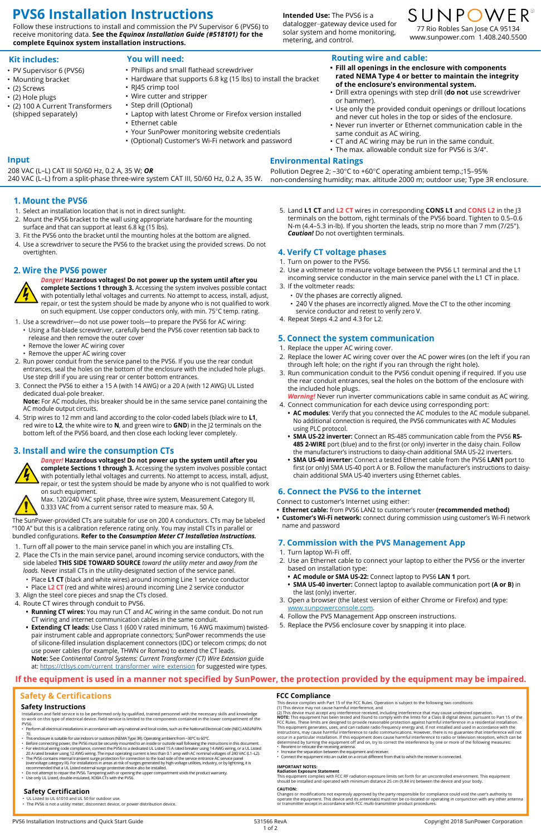Installation and field service is to be performed only by qualified, trained personnel with the necessary skills and knowledge<br>to work on this type of electrical device. Field service is limited to the components contained PVS6.

- Perform all electrical installations in accordance with any national and local codes, such as the National Electrical Code (NEC) ANSI/NFPA 70.
- 
- This enclosure is suitable for use indoors or outdoors (NEMA Type 3R). Operating ambient from –30°C to 60°C.<br>• Before connecting power, the PVS6 must be securely mounted to an inside or outside wall following the instruc
- For electrical wiring code compliance, connect the PVS6 to a dedicated UL Listed 15 A rated breaker using 14 AWG wiring, or a UL Listed 20 A rated breaker using 12 AWG wiring. The input operating current is less than 0.1 amp with AC nominal voltages of 240 VAC (L1–L2).
- ∙ The PVS6 contains internal transient surge protection for connection to the load side of the service entrance AC service panel<br>Overvoltage category III). For installations in areas at risk of surges generated by high-vo recommended that a UL Listed external surge protective device also be installed.
- Do not attempt to repair the PVS6. Tampering with or opening the upper compartment voids the product warranty. Use only UL Listed, double-insulated, XOBA CTs with the PVS6.
- 
- 
- Increase the separation between the equipment and receiver
- Connect the equipment into an outlet on a circuit different from that to which the receiver is connected.

#### **Safety Instructions**

# **Safety & Certifications**

This device complies with Part 15 of the FCC Rules. Operation is subject to the following two conditions:

(1) This device may not cause harmful interference, and (2) This device must accept any interference received, including interference that may cause undesired operation. **NOTE:** This equipment has been tested and found to comply with the limits for a Class B digital device, pursuant to Part 15 of the<br>FCC Rules. These limits are designed to provide reasonable protection against harmful inte This equipment generates, uses, and can radiate radio frequency energy and, if not installed and used in accordance with the<br>instructions, may cause harmful interference to radio communications. However, there is no guaran determined by turning the equipment off and on, try to correct the interference by one or more of the following measures: • Reorient or relocate the receiving antenna.

#### **IMPORTANT NOTES:**

#### **Radiation Exposure Statement**

This equipment complies with FCC RF radiation exposure limits set forth for an uncontrolled environment. This equipment should be installed and operated with minimum distance 25 cm (9.84 in) between the device and your body.

#### **CAUTION:**

Changes or modifications not expressly approved by the party responsible for compliance could void the user's authority to operate the equipment. This device and its antenna(s) must not be co-located or operating in conjunction with any other antenna or transmitter except in accordance with FCC multi-transmitter product procedures.

#### **FCC Compliance**

- UL Listed to UL 61010 and UL 50 for outdoor use.
- The PVS6 is not a utility meter, disconnect device, or power distribution device.

### **Safety Certification**

# **1. Mount the PVS6**

- 1. Select an installation location that is not in direct sunlight.
- 2. Mount the PVS6 bracket to the wall using appropriate hardware for the mounting surface and that can support at least 6.8 kg (15 lbs).
- 3. Fit the PVS6 onto the bracket until the mounting holes at the bottom are aligned.
- 4. Use a screwdriver to secure the PVS6 to the bracket using the provided screws. Do not overtighten.

# **2. Wire the PVS6 power**



*Danger!* **Hazardous voltages! Do not power up the system until after you complete Sections 1 through 3.** Accessing the system involves possible contact with potentially lethal voltages and currents. No attempt to access, install, adjust, repair, or test the system should be made by anyone who is not qualified to work on such equipment. Use copper conductors only, with min. 75°C temp. rating.

- 1. Use a screwdriver—do not use power tools—to prepare the PVS6 for AC wiring:
	- Using a flat-blade screwdriver, carefully bend the PVS6 cover retention tab back to release and then remove the outer cover
	- Remove the lower AC wiring cover
	- Remove the upper AC wiring cover
- 2. Run power conduit from the service panel to the PVS6. If you use the rear conduit entrances, seal the holes on the bottom of the enclosure with the included hole plugs. Use step drill if you are using rear or center bottom entrances.
- 3. Connect the PVS6 to either a 15 A (with 14 AWG) or a 20 A (with 12 AWG) UL Listed dedicated dual-pole breaker.

**Note:** For AC modules, this breaker should be in the same service panel containing the AC module output circuits.

4. Strip wires to 12 mm and land according to the color-coded labels (black wire to **L1**, red wire to **L2**, the white wire to **N**, and green wire to **GND**) in the J2 terminals on the bottom left of the PVS6 board, and then close each locking lever completely.

# **3. Install and wire the consumption CTs**



*Danger!* **Hazardous voltages! Do not power up the system until after you complete Sections 1 through 3.** Accessing the system involves possible contact with potentially lethal voltages and currents. No attempt to access, install, adjust, repair, or test the system should be made by anyone who is not qualified to work on such equipment.



Max. 120/240 VAC split phase, three wire system, Measurement Category III, 0.333 VAC from a current sensor rated to measure max. 50 A.

# SUNPOWER® 77 Rio Robles San Jose CA 95134 www.sunpower.com 1.408.240.5500

The SunPower-provided CTs are suitable for use on 200 A conductors. CTs may be labeled "100 A" but this is a calibration reference rating only. You may install CTs in parallel or bundled configurations. **Refer to the** *Consumption Meter CT Installation Instructions.*

- 1. Turn off all power to the main service panel in which you are installing CTs.
- 2. Place the CTs in the main service panel, around incoming service conductors, with the side labeled **THIS SIDE TOWARD SOURCE** *toward the utility meter* and *away from the loads.* Never install CTs in the utility-designated section of the service panel.
	- Place **L1 CT** (black and white wires) around incoming Line 1 service conductor
- Place **L2 CT** (red and white wires) around incoming Line 2 service conductor
- 3. Align the steel core pieces and snap the CTs closed.
- 4. Route CT wires through conduit to PVS6.
- **• Running CT wires:** You may run CT and AC wiring in the same conduit. Do not run

5. Land **L1 CT** and **L2 CT** wires in corresponding **CONS L1** and **CONS L2** in the J3 terminals on the bottom, right terminals of the PVS6 board. Tighten to 0.5–0.6 N-m (4.4–5.3 in-lb). If you shorten the leads, strip no more than 7 mm (7/25"). *Caution!* Do not overtighten terminals.

# **4. Verify CT voltage phases**

- 1. Turn on power to the PVS6.
- 2. Use a voltmeter to measure voltage between the PVS6 L1 terminal and the L1 incoming service conductor in the main service panel with the L1 CT in place.
- 3. If the voltmeter reads:
	- 0V the phases are correctly aligned. • 240 V the phases are incorrectly aligned. Move the CT to the other incoming
	- service conductor and retest to verify zero V.
- 4. Repeat Steps 4.2 and 4.3 for L2.

# **5. Connect the system communication**

- 1. Replace the upper AC wiring cover.
- 2. Replace the lower AC wiring cover over the AC power wires (on the left if you ran through left hole; on the right if you ran through the right hole).
- 3. Run communication conduit to the PVS6 conduit opening if required. If you use the rear conduit entrances, seal the holes on the bottom of the enclosure with the included hole plugs.

- CT wiring and internet communication cables in the same conduit.
- **• Extending CT leads:** Use Class 1 (600 V rated minimum, 16 AWG maximum) twistedpair instrument cable and appropriate connectors; SunPower recommends the use of silicone-filled insulation displacement connectors (IDC) or telecom crimps; do not use power cables (for example, THWN or Romex) to extend the CT leads. **Note:** See *Continental Control Systems: Current Transformer (CT) Wire Extension* guide at: [https://ctlsys.com/current\\_transformer\\_wire\\_extension](https://ctlsys.com/current_transformer_wire_extension) for suggested wire types.
- 4. Follow the PVS Management App onscreen instructions.
- 5. Replace the PVS6 enclosure cover by snapping it into place.

*Warning!* Never run inverter communications cable in same conduit as AC wiring.

- 4. Connect communication for each device using corresponding port:
	- **• AC modules**: Verify that you connected the AC modules to the AC module subpanel. No additional connection is required, the PVS6 communicates with AC Modules using PLC protocol.
	- **• SMA US-22 inverter:** Connect an RS-485 communication cable from the PVS6 **RS-485 2-WIRE** port (blue) and to the first (or only) inverter in the daisy chain. Follow the manufacturer's instructions to daisy-chain additional SMA US-22 inverters.
	- **• SMA US-40 inverter:** Connect a tested Ethernet cable from the PVS6 **LAN1** port to first (or only) SMA US-40 port A or B. Follow the manufacturer's instructions to daisychain additional SMA US-40 inverters using Ethernet cables.

# **6. Connect the PVS6 to the internet**

Connect to customer's Internet using either:

- **• Ethernet cable:** from PVS6 LAN2 to customer's router **(recommended method)**
- **• Customer's Wi-Fi network:** connect during commission using customer's Wi-Fi network name and password

# **7. Commission with the PVS Management App**

- 1. Turn laptop Wi-Fi off.
- 2. Use an Ethernet cable to connect your laptop to either the PVS6 or the inverter based on installation type:
	- **• AC module or SMA US-22:** Connect laptop to PVS6 **LAN 1** port.
	- **• SMA US-40 inverter:** Connect laptop to available communication port **(A or B)** in the last (only) inverter.
- 3. Open a browser (the latest version of either Chrome or Firefox) and type: www.sunpowerconsole.com.

# **Routing wire and cable:**

- **• Fill all openings in the enclosure with components rated NEMA Type 4 or better to maintain the integrity of the enclosure's environmental system.**
- Drill extra openings with step drill (**do not** use screwdriver or hammer).
- Use only the provided conduit openings or drillout locations and never cut holes in the top or sides of the enclosure.
- Never run inverter or Ethernet communication cable in the same conduit as AC wiring.
- CT and AC wiring may be run in the same conduit.
- The max. allowable conduit size for PVS6 is 3/4".

**Kit includes:**

- PV Supervisor 6 (PVS6)
- Mounting bracket
- (2) Screws
- (2) Hole plugs

• (2) 100 A Current Transformers (shipped separately)

# **You will need:**

- Phillips and small flathead screwdriver
- Hardware that supports 6.8 kg (15 lbs) to install the bracket
- R|45 crimp tool
- Wire cutter and stripper
- Step drill (Optional)
- Laptop with latest Chrome or Firefox version installed • Ethernet cable
- Your SunPower monitoring website credentials
- (Optional) Customer's Wi-Fi network and password

# **PVS6 Installation Instructions**

Follow these instructions to install and commission the PV Supervisor 6 (PVS6) to receive monitoring data. **See the** *Equinox Installation Guide (#518101)* **for the complete Equinox system installation instructions.** 

#### **Intended Use:** The PVS6 is a datalogger–gateway device used for solar system and home monitoring, metering, and control.

**Input**

# **If the equipment is used in a manner not specified by SunPower, the protection provided by the equipment may be impaired.**

 208 VAC (L−L) CAT III 50/60 Hz, 0.2 A, 35 W; *OR* 240 VAC (L−L) from a split-phase three-wire system CAT III, 50/60 Hz, 0.2 A, 35 W. Pollution Degree 2; -30°C to +60°C operating ambient temp.;15-95% non-condensing humidity; max. altitude 2000 m; outdoor use; Type 3R enclosure.

# **Environmental Ratings**